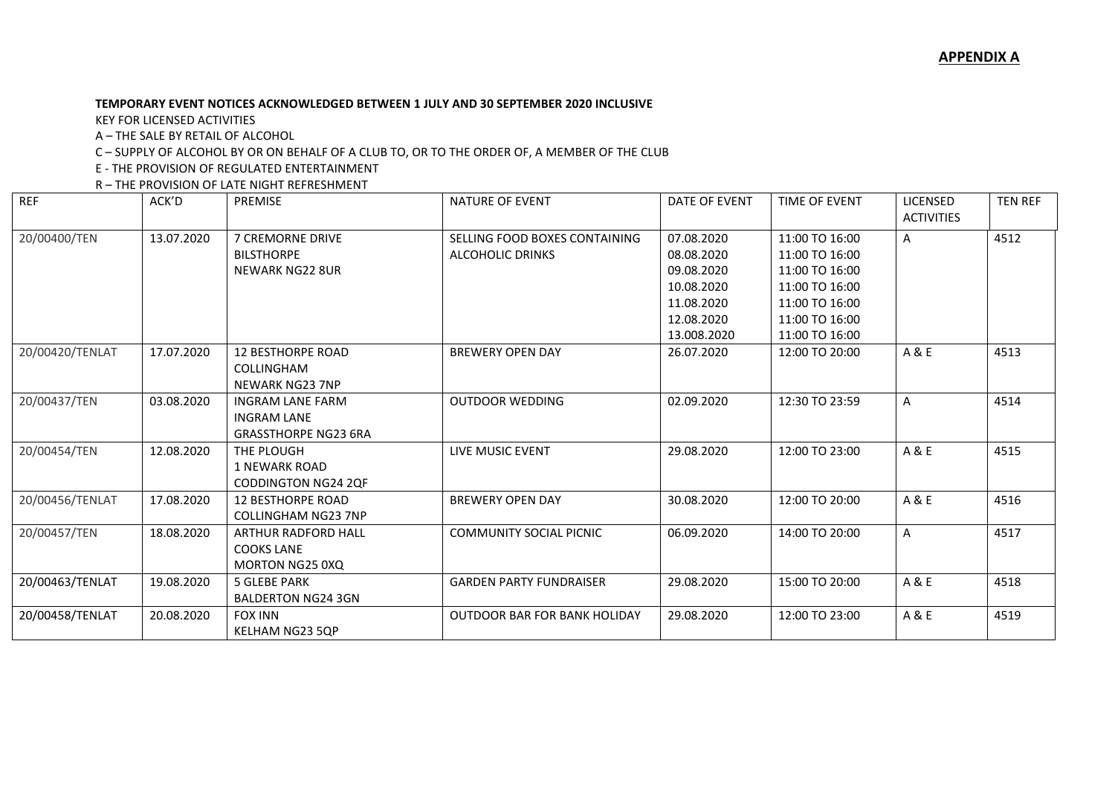## **TEMPORARY EVENT NOTICES ACKNOWLEDGED BETWEEN 1 JULY AND 30 SEPTEMBER 2020 INCLUSIVE**

KEY FOR LICENSED ACTIVITIES

A – THE SALE BY RETAIL OF ALCOHOL

C – SUPPLY OF ALCOHOL BY OR ON BEHALF OF A CLUB TO, OR TO THE ORDER OF, A MEMBER OF THE CLUB

E - THE PROVISION OF REGULATED ENTERTAINMENT

R – THE PROVISION OF LATE NIGHT REFRESHMENT

| <b>REF</b>      | ACK'D      | <b>PREMISE</b>                                                               | <b>NATURE OF EVENT</b>                                   | DATE OF EVENT                                                                                   | <b>TIME OF EVENT</b>                                                                                                       | LICENSED<br><b>ACTIVITIES</b> | <b>TEN REF</b> |
|-----------------|------------|------------------------------------------------------------------------------|----------------------------------------------------------|-------------------------------------------------------------------------------------------------|----------------------------------------------------------------------------------------------------------------------------|-------------------------------|----------------|
| 20/00400/TEN    | 13.07.2020 | <b>7 CREMORNE DRIVE</b><br><b>BILSTHORPE</b><br><b>NEWARK NG22 8UR</b>       | SELLING FOOD BOXES CONTAINING<br><b>ALCOHOLIC DRINKS</b> | 07.08.2020<br>08.08.2020<br>09.08.2020<br>10.08.2020<br>11.08.2020<br>12.08.2020<br>13.008.2020 | 11:00 TO 16:00<br>11:00 TO 16:00<br>11:00 TO 16:00<br>11:00 TO 16:00<br>11:00 TO 16:00<br>11:00 TO 16:00<br>11:00 TO 16:00 | A                             | 4512           |
| 20/00420/TENLAT | 17.07.2020 | <b>12 BESTHORPE ROAD</b><br>COLLINGHAM<br><b>NEWARK NG23 7NP</b>             | <b>BREWERY OPEN DAY</b>                                  | 26.07.2020                                                                                      | 12:00 TO 20:00                                                                                                             | A & E                         | 4513           |
| 20/00437/TEN    | 03.08.2020 | <b>INGRAM LANE FARM</b><br><b>INGRAM LANE</b><br><b>GRASSTHORPE NG23 6RA</b> | <b>OUTDOOR WEDDING</b>                                   | 02.09.2020                                                                                      | 12:30 TO 23:59                                                                                                             | A                             | 4514           |
| 20/00454/TEN    | 12.08.2020 | THE PLOUGH<br>1 NEWARK ROAD<br><b>CODDINGTON NG24 2QF</b>                    | LIVE MUSIC EVENT                                         | 29.08.2020                                                                                      | 12:00 TO 23:00                                                                                                             | A & E                         | 4515           |
| 20/00456/TENLAT | 17.08.2020 | <b>12 BESTHORPE ROAD</b><br><b>COLLINGHAM NG23 7NP</b>                       | <b>BREWERY OPEN DAY</b>                                  | 30.08.2020                                                                                      | 12:00 TO 20:00                                                                                                             | A & E                         | 4516           |
| 20/00457/TEN    | 18.08.2020 | ARTHUR RADFORD HALL<br><b>COOKS LANE</b><br>MORTON NG25 0XQ                  | <b>COMMUNITY SOCIAL PICNIC</b>                           | 06.09.2020                                                                                      | 14:00 TO 20:00                                                                                                             | A                             | 4517           |
| 20/00463/TENLAT | 19.08.2020 | <b>5 GLEBE PARK</b><br><b>BALDERTON NG24 3GN</b>                             | <b>GARDEN PARTY FUNDRAISER</b>                           | 29.08.2020                                                                                      | 15:00 TO 20:00                                                                                                             | A & E                         | 4518           |
| 20/00458/TENLAT | 20.08.2020 | <b>FOX INN</b><br>KELHAM NG23 5QP                                            | <b>OUTDOOR BAR FOR BANK HOLIDAY</b>                      | 29.08.2020                                                                                      | 12:00 TO 23:00                                                                                                             | A & E                         | 4519           |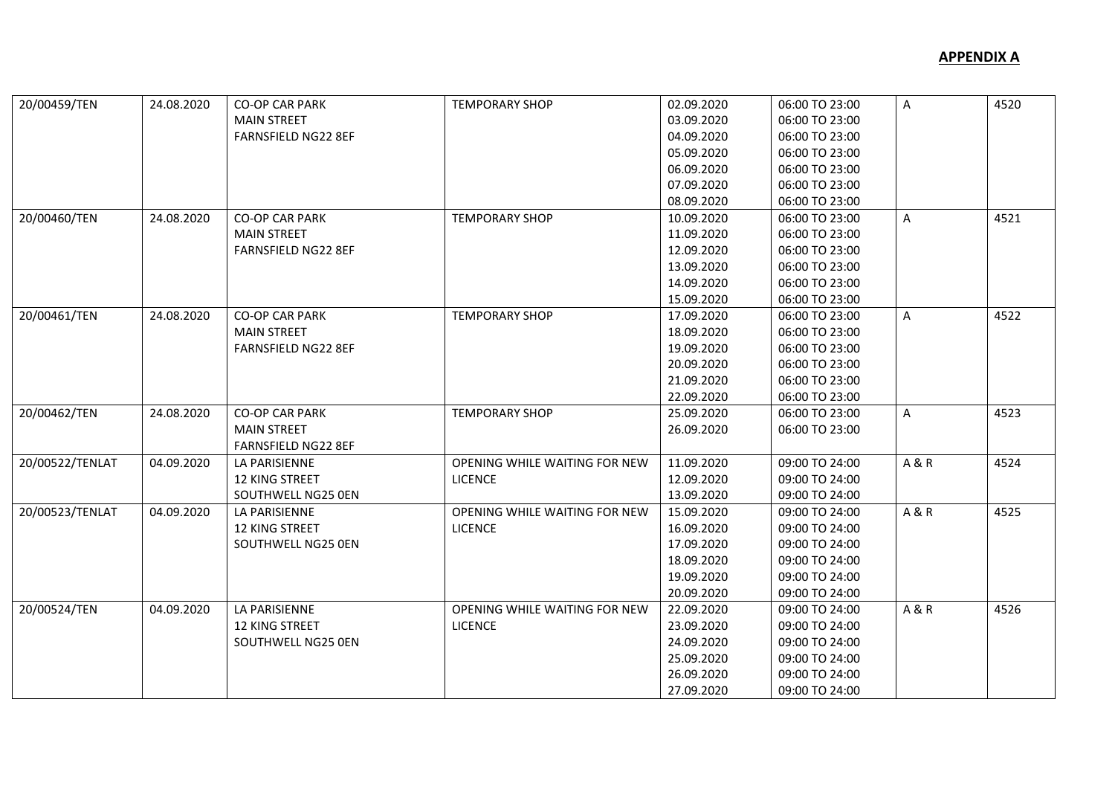| 20/00459/TEN    | 24.08.2020 | <b>CO-OP CAR PARK</b>      | <b>TEMPORARY SHOP</b>         | 02.09.2020 | 06:00 TO 23:00 | Α              | 4520 |
|-----------------|------------|----------------------------|-------------------------------|------------|----------------|----------------|------|
|                 |            | <b>MAIN STREET</b>         |                               | 03.09.2020 | 06:00 TO 23:00 |                |      |
|                 |            | <b>FARNSFIELD NG22 8EF</b> |                               | 04.09.2020 | 06:00 TO 23:00 |                |      |
|                 |            |                            |                               | 05.09.2020 | 06:00 TO 23:00 |                |      |
|                 |            |                            |                               | 06.09.2020 | 06:00 TO 23:00 |                |      |
|                 |            |                            |                               | 07.09.2020 | 06:00 TO 23:00 |                |      |
|                 |            |                            |                               | 08.09.2020 | 06:00 TO 23:00 |                |      |
| 20/00460/TEN    | 24.08.2020 | <b>CO-OP CAR PARK</b>      | <b>TEMPORARY SHOP</b>         | 10.09.2020 | 06:00 TO 23:00 | Α              | 4521 |
|                 |            | <b>MAIN STREET</b>         |                               | 11.09.2020 | 06:00 TO 23:00 |                |      |
|                 |            | <b>FARNSFIELD NG22 8EF</b> |                               | 12.09.2020 | 06:00 TO 23:00 |                |      |
|                 |            |                            |                               | 13.09.2020 | 06:00 TO 23:00 |                |      |
|                 |            |                            |                               | 14.09.2020 | 06:00 TO 23:00 |                |      |
|                 |            |                            |                               | 15.09.2020 | 06:00 TO 23:00 |                |      |
| 20/00461/TEN    | 24.08.2020 | <b>CO-OP CAR PARK</b>      | <b>TEMPORARY SHOP</b>         | 17.09.2020 | 06:00 TO 23:00 | A              | 4522 |
|                 |            | <b>MAIN STREET</b>         |                               | 18.09.2020 | 06:00 TO 23:00 |                |      |
|                 |            | <b>FARNSFIELD NG22 8EF</b> |                               | 19.09.2020 | 06:00 TO 23:00 |                |      |
|                 |            |                            |                               | 20.09.2020 | 06:00 TO 23:00 |                |      |
|                 |            |                            |                               | 21.09.2020 | 06:00 TO 23:00 |                |      |
|                 |            |                            |                               | 22.09.2020 | 06:00 TO 23:00 |                |      |
| 20/00462/TEN    | 24.08.2020 | <b>CO-OP CAR PARK</b>      | <b>TEMPORARY SHOP</b>         | 25.09.2020 | 06:00 TO 23:00 | Α              | 4523 |
|                 |            | <b>MAIN STREET</b>         |                               | 26.09.2020 | 06:00 TO 23:00 |                |      |
|                 |            | <b>FARNSFIELD NG22 8EF</b> |                               |            |                |                |      |
| 20/00522/TENLAT | 04.09.2020 | LA PARISIENNE              | OPENING WHILE WAITING FOR NEW | 11.09.2020 | 09:00 TO 24:00 | <b>A&amp;R</b> | 4524 |
|                 |            | 12 KING STREET             | <b>LICENCE</b>                | 12.09.2020 | 09:00 TO 24:00 |                |      |
|                 |            | SOUTHWELL NG25 0EN         |                               | 13.09.2020 | 09:00 TO 24:00 |                |      |
| 20/00523/TENLAT | 04.09.2020 | LA PARISIENNE              | OPENING WHILE WAITING FOR NEW | 15.09.2020 | 09:00 TO 24:00 | A & R          | 4525 |
|                 |            | 12 KING STREET             | <b>LICENCE</b>                | 16.09.2020 | 09:00 TO 24:00 |                |      |
|                 |            | SOUTHWELL NG25 0EN         |                               | 17.09.2020 | 09:00 TO 24:00 |                |      |
|                 |            |                            |                               | 18.09.2020 | 09:00 TO 24:00 |                |      |
|                 |            |                            |                               | 19.09.2020 | 09:00 TO 24:00 |                |      |
|                 |            |                            |                               | 20.09.2020 | 09:00 TO 24:00 |                |      |
| 20/00524/TEN    | 04.09.2020 | LA PARISIENNE              | OPENING WHILE WAITING FOR NEW | 22.09.2020 | 09:00 TO 24:00 | <b>A&amp;R</b> | 4526 |
|                 |            | 12 KING STREET             | <b>LICENCE</b>                | 23.09.2020 | 09:00 TO 24:00 |                |      |
|                 |            | SOUTHWELL NG25 0EN         |                               | 24.09.2020 | 09:00 TO 24:00 |                |      |
|                 |            |                            |                               | 25.09.2020 | 09:00 TO 24:00 |                |      |
|                 |            |                            |                               | 26.09.2020 | 09:00 TO 24:00 |                |      |
|                 |            |                            |                               | 27.09.2020 | 09:00 TO 24:00 |                |      |